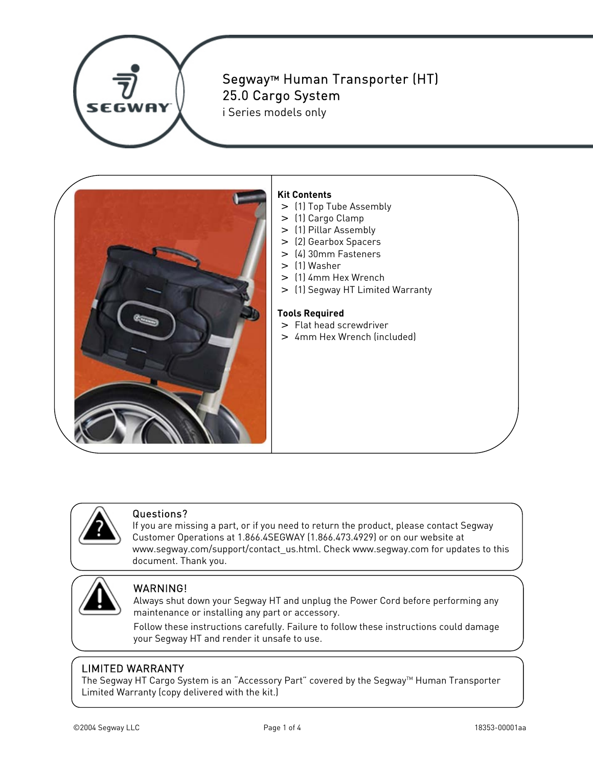

# Segway™ Human Transporter (HT) 25.0 Cargo System

i Series models only



### **Kit Contents**

- > (1) Top Tube Assembly
- > (1) Cargo Clamp
- > (1) Pillar Assembly
- > (2) Gearbox Spacers
- > (4) 30mm Fasteners
- > (1) Washer
- > (1) 4mm Hex Wrench
- > (1) Segway HT Limited Warranty

#### **Tools Required**

- > Flat head screwdriver
- > 4mm Hex Wrench (included)



#### Questions?

If you are missing a part, or if you need to return the product, please contact Segway Customer Operations at 1.866.4SEGWAY (1.866.473.4929) or on our website at www.segway.com/support/contact\_us.html. Check www.segway.com for updates to this document. Thank you.



### WARNING!

Always shut down your Segway HT and unplug the Power Cord before performing any maintenance or installing any part or accessory.

Follow these instructions carefully. Failure to follow these instructions could damage your Segway HT and render it unsafe to use.

## LIMITED WARRANTY

The Segway HT Cargo System is an "Accessory Part" covered by the Segway™ Human Transporter Limited Warranty (copy delivered with the kit.)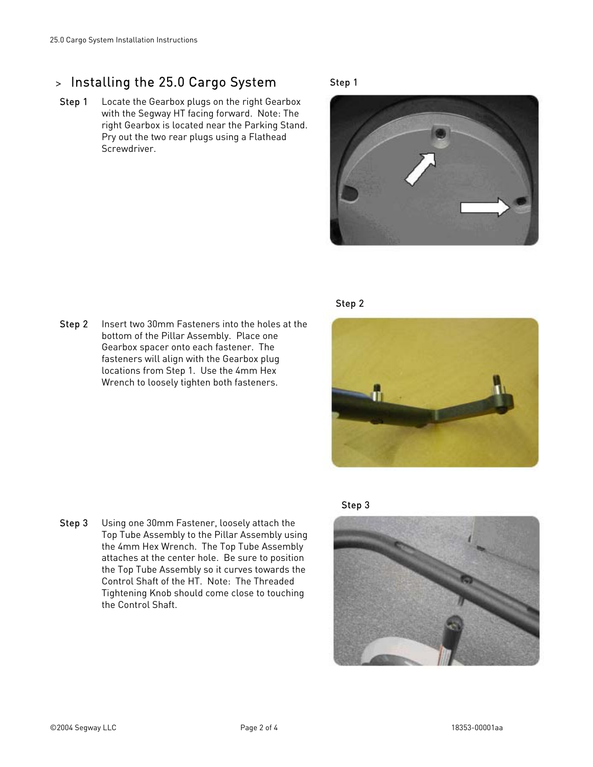## > Installing the 25.0 Cargo System

Step 1 Locate the Gearbox plugs on the right Gearbox with the Segway HT facing forward. Note: The right Gearbox is located near the Parking Stand. Pry out the two rear plugs using a Flathead Screwdriver.

#### Step 1





**Step 2** Insert two 30mm Fasteners into the holes at the bottom of the Pillar Assembly. Place one Gearbox spacer onto each fastener. The fasteners will align with the Gearbox plug locations from Step 1. Use the 4mm Hex Wrench to loosely tighten both fasteners.



Step 3 Using one 30mm Fastener, loosely attach the Top Tube Assembly to the Pillar Assembly using the 4mm Hex Wrench. The Top Tube Assembly attaches at the center hole. Be sure to position the Top Tube Assembly so it curves towards the Control Shaft of the HT. Note: The Threaded Tightening Knob should come close to touching the Control Shaft.

Step 3

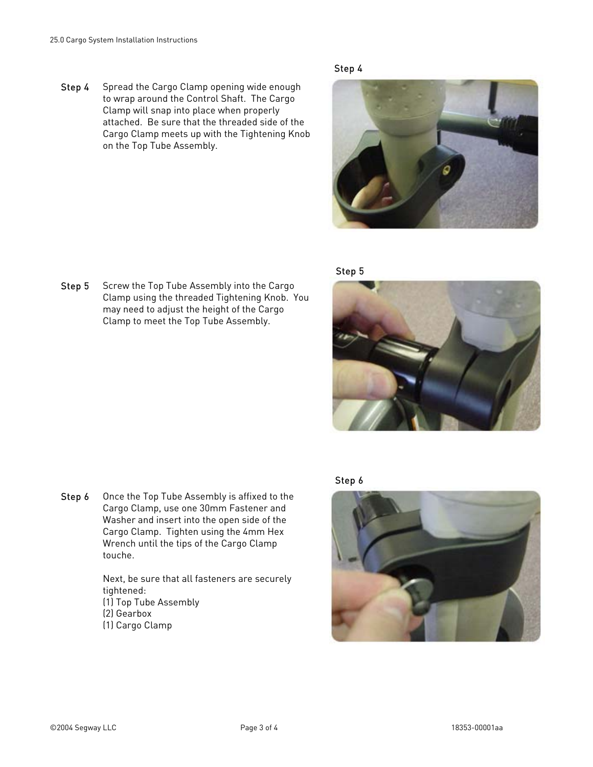Step 4 Spread the Cargo Clamp opening wide enough to wrap around the Control Shaft. The Cargo Clamp will snap into place when properly attached. Be sure that the threaded side of the Cargo Clamp meets up with the Tightening Knob on the Top Tube Assembly.









Step 5 Screw the Top Tube Assembly into the Cargo Clamp using the threaded Tightening Knob. You may need to adjust the height of the Cargo Clamp to meet the Top Tube Assembly.

Step 6 Once the Top Tube Assembly is affixed to the Cargo Clamp, use one 30mm Fastener and Washer and insert into the open side of the Cargo Clamp. Tighten using the 4mm Hex Wrench until the tips of the Cargo Clamp touche.

> Next, be sure that all fasteners are securely tightened: (1) Top Tube Assembly (2) Gearbox (1) Cargo Clamp

Step 6